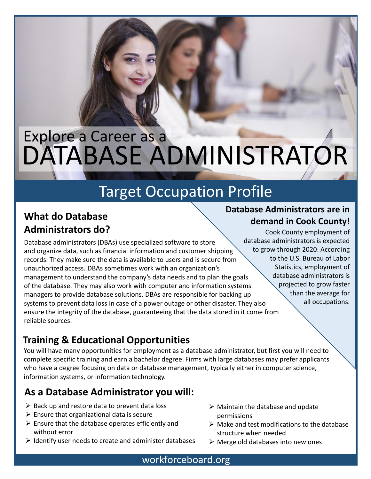# DATABASE ADMINISTRATOR Explore a Career as a

## Target Occupation Profile

## **What do Database Administrators do?**

Database administrators (DBAs) use specialized software to store and organize data, such as financial information and customer shipping records. They make sure the data is available to users and is secure from unauthorized access. DBAs sometimes work with an organization's management to understand the company's data needs and to plan the goals of the database. They may also work with computer and information systems managers to provide database solutions. DBAs are responsible for backing up systems to prevent data loss in case of a power outage or other disaster. They also ensure the integrity of the database, guaranteeing that the data stored in it come from reliable sources.

#### **demand in Cook County!** Cook County employment of database administrators is expected to grow through 2020. According to the U.S. Bureau of Labor Statistics, employment of database administrators is projected to grow faster

than the average for all occupations.

**Database Administrators are in** 

## **Training & Educational Opportunities**

You will have many opportunities for employment as a database administrator, but first you will need to complete specific training and earn a bachelor degree. Firms with large databases may prefer applicants who have a degree focusing on data or database management, typically either in computer science, information systems, or information technology.

### **As a Database Administrator you will:**

- $\triangleright$  Back up and restore data to prevent data loss
- $\triangleright$  Ensure that organizational data is secure
- $\triangleright$  Ensure that the database operates efficiently and without error
- $\triangleright$  Identify user needs to create and administer databases
- $\triangleright$  Maintain the database and update permissions
- $\triangleright$  Make and test modifications to the database structure when needed
- $\triangleright$  Merge old databases into new ones

#### workforceboard.org